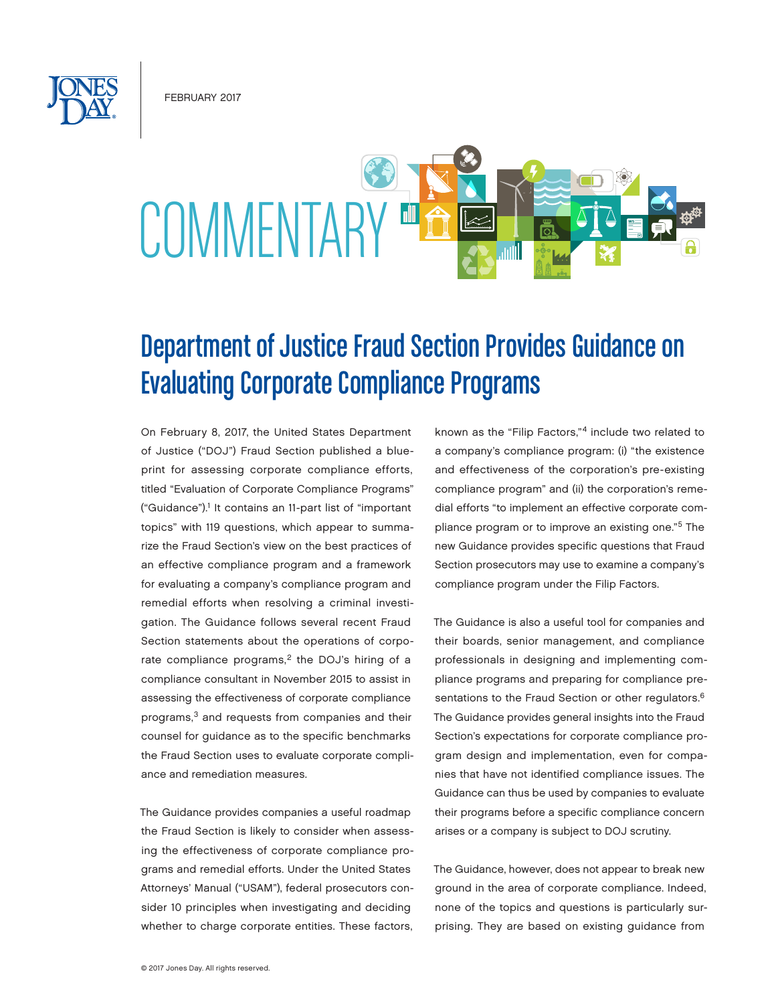February 2017



# Department of Justice Fraud Section Provides Guidance on Evaluating Corporate Compliance Programs

On February 8, 2017, the United States Department of Justice ("DOJ") Fraud Section published a blueprint for assessing corporate compliance efforts, titled "Evaluation of Corporate Compliance Programs" ("Guidance").<sup>1</sup> It contains an 11-part list of "important topics" with 119 questions, which appear to summarize the Fraud Section's view on the best practices of an effective compliance program and a framework for evaluating a company's compliance program and remedial efforts when resolving a criminal investigation. The Guidance follows several recent Fraud Section statements about the operations of corporate compliance programs,<sup>2</sup> the DOJ's hiring of a compliance consultant in November 2015 to assist in assessing the effectiveness of corporate compliance programs,3 and requests from companies and their counsel for guidance as to the specific benchmarks the Fraud Section uses to evaluate corporate compliance and remediation measures.

The Guidance provides companies a useful roadmap the Fraud Section is likely to consider when assessing the effectiveness of corporate compliance programs and remedial efforts. Under the United States Attorneys' Manual ("USAM"), federal prosecutors consider 10 principles when investigating and deciding whether to charge corporate entities. These factors,

known as the "Filip Factors,"4 include two related to a company's compliance program: (i) "the existence and effectiveness of the corporation's pre-existing compliance program" and (ii) the corporation's remedial efforts "to implement an effective corporate compliance program or to improve an existing one."5 The new Guidance provides specific questions that Fraud Section prosecutors may use to examine a company's compliance program under the Filip Factors.

The Guidance is also a useful tool for companies and their boards, senior management, and compliance professionals in designing and implementing compliance programs and preparing for compliance presentations to the Fraud Section or other regulators.<sup>6</sup> The Guidance provides general insights into the Fraud Section's expectations for corporate compliance program design and implementation, even for companies that have not identified compliance issues. The Guidance can thus be used by companies to evaluate their programs before a specific compliance concern arises or a company is subject to DOJ scrutiny.

The Guidance, however, does not appear to break new ground in the area of corporate compliance. Indeed, none of the topics and questions is particularly surprising. They are based on existing guidance from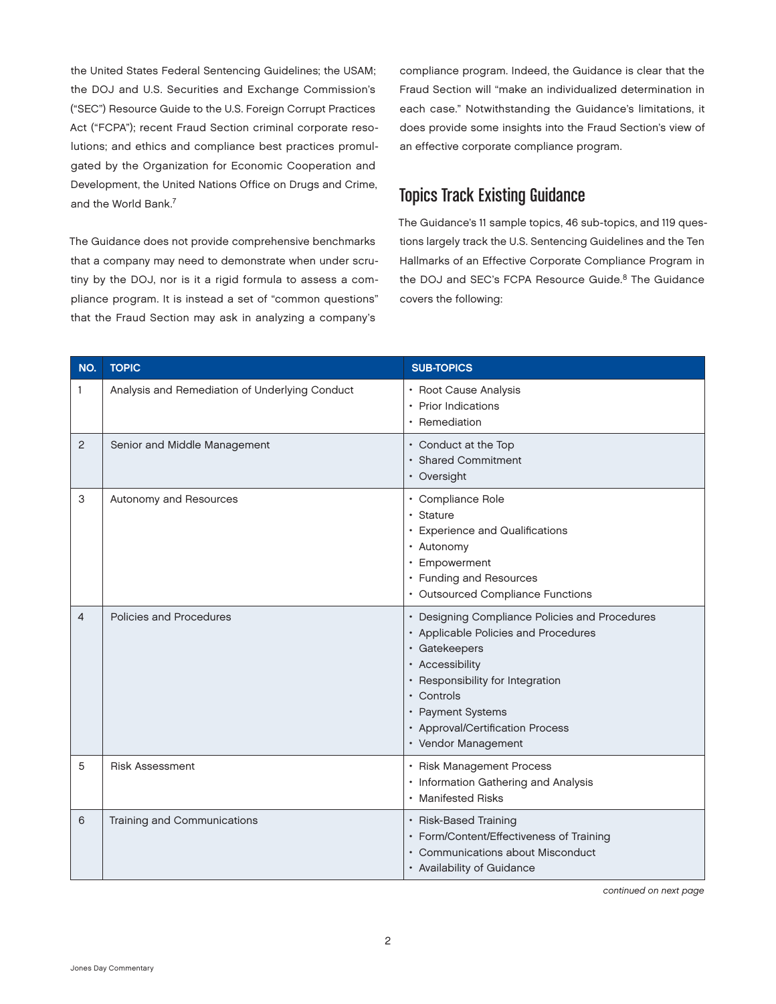the United States Federal Sentencing Guidelines; the USAM; the DOJ and U.S. Securities and Exchange Commission's ("SEC") Resource Guide to the U.S. Foreign Corrupt Practices Act ("FCPA"); recent Fraud Section criminal corporate resolutions; and ethics and compliance best practices promulgated by the Organization for Economic Cooperation and Development, the United Nations Office on Drugs and Crime, and the World Bank.7

The Guidance does not provide comprehensive benchmarks that a company may need to demonstrate when under scrutiny by the DOJ, nor is it a rigid formula to assess a compliance program. It is instead a set of "common questions" that the Fraud Section may ask in analyzing a company's

compliance program. Indeed, the Guidance is clear that the Fraud Section will "make an individualized determination in each case." Notwithstanding the Guidance's limitations, it does provide some insights into the Fraud Section's view of an effective corporate compliance program.

# Topics Track Existing Guidance

The Guidance's 11 sample topics, 46 sub-topics, and 119 questions largely track the U.S. Sentencing Guidelines and the Ten Hallmarks of an Effective Corporate Compliance Program in the DOJ and SEC's FCPA Resource Guide.<sup>8</sup> The Guidance covers the following:

| NO.            | <b>TOPIC</b>                                   | <b>SUB-TOPICS</b>                                                                                                                                                                                                                                            |
|----------------|------------------------------------------------|--------------------------------------------------------------------------------------------------------------------------------------------------------------------------------------------------------------------------------------------------------------|
| 1              | Analysis and Remediation of Underlying Conduct | • Root Cause Analysis<br>• Prior Indications<br>• Remediation                                                                                                                                                                                                |
| $\overline{c}$ | Senior and Middle Management                   | • Conduct at the Top<br>· Shared Commitment<br>• Oversight                                                                                                                                                                                                   |
| 3              | Autonomy and Resources                         | • Compliance Role<br>· Stature<br>• Experience and Qualifications<br>• Autonomy<br>• Empowerment<br>• Funding and Resources<br>• Outsourced Compliance Functions                                                                                             |
| $\overline{4}$ | Policies and Procedures                        | • Designing Compliance Policies and Procedures<br>• Applicable Policies and Procedures<br>· Gatekeepers<br>• Accessibility<br>• Responsibility for Integration<br>• Controls<br>• Payment Systems<br>• Approval/Certification Process<br>• Vendor Management |
| 5              | <b>Risk Assessment</b>                         | • Risk Management Process<br>• Information Gathering and Analysis<br>• Manifested Risks                                                                                                                                                                      |
| 6              | Training and Communications                    | • Risk-Based Training<br>• Form/Content/Effectiveness of Training<br>• Communications about Misconduct<br>• Availability of Guidance                                                                                                                         |

*continued on next page*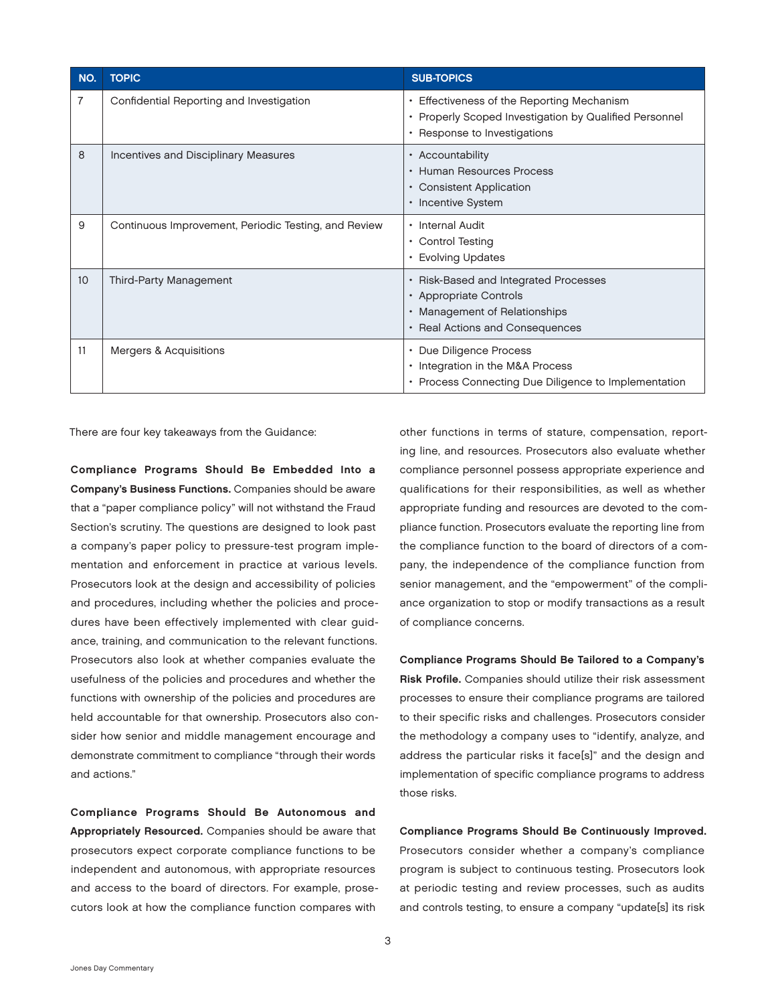| NO.              | <b>TOPIC</b>                                         | <b>SUB-TOPICS</b>                                                                                                                    |
|------------------|------------------------------------------------------|--------------------------------------------------------------------------------------------------------------------------------------|
| 7                | Confidential Reporting and Investigation             | • Effectiveness of the Reporting Mechanism<br>• Properly Scoped Investigation by Qualified Personnel<br>• Response to Investigations |
| 8                | Incentives and Disciplinary Measures                 | • Accountability<br>• Human Resources Process<br>• Consistent Application<br>• Incentive System                                      |
| 9                | Continuous Improvement, Periodic Testing, and Review | • Internal Audit<br>• Control Testing<br>• Evolving Updates                                                                          |
| 10 <sup>10</sup> | Third-Party Management                               | • Risk-Based and Integrated Processes<br>• Appropriate Controls<br>• Management of Relationships<br>• Real Actions and Consequences  |
| 11               | <b>Mergers &amp; Acquisitions</b>                    | Due Diligence Process<br>$\bullet$<br>• Integration in the M&A Process<br>• Process Connecting Due Diligence to Implementation       |

There are four key takeaways from the Guidance:

Compliance Programs Should Be Embedded Into a Company's Business Functions. Companies should be aware that a "paper compliance policy" will not withstand the Fraud Section's scrutiny. The questions are designed to look past a company's paper policy to pressure-test program implementation and enforcement in practice at various levels. Prosecutors look at the design and accessibility of policies and procedures, including whether the policies and procedures have been effectively implemented with clear guidance, training, and communication to the relevant functions. Prosecutors also look at whether companies evaluate the usefulness of the policies and procedures and whether the functions with ownership of the policies and procedures are held accountable for that ownership. Prosecutors also consider how senior and middle management encourage and demonstrate commitment to compliance "through their words and actions."

Compliance Programs Should Be Autonomous and Appropriately Resourced. Companies should be aware that prosecutors expect corporate compliance functions to be independent and autonomous, with appropriate resources and access to the board of directors. For example, prosecutors look at how the compliance function compares with

other functions in terms of stature, compensation, reporting line, and resources. Prosecutors also evaluate whether compliance personnel possess appropriate experience and qualifications for their responsibilities, as well as whether appropriate funding and resources are devoted to the compliance function. Prosecutors evaluate the reporting line from the compliance function to the board of directors of a company, the independence of the compliance function from senior management, and the "empowerment" of the compliance organization to stop or modify transactions as a result of compliance concerns.

Compliance Programs Should Be Tailored to a Company's Risk Profile. Companies should utilize their risk assessment processes to ensure their compliance programs are tailored to their specific risks and challenges. Prosecutors consider the methodology a company uses to "identify, analyze, and address the particular risks it face[s]" and the design and implementation of specific compliance programs to address those risks.

Compliance Programs Should Be Continuously Improved. Prosecutors consider whether a company's compliance program is subject to continuous testing. Prosecutors look at periodic testing and review processes, such as audits and controls testing, to ensure a company "update[s] its risk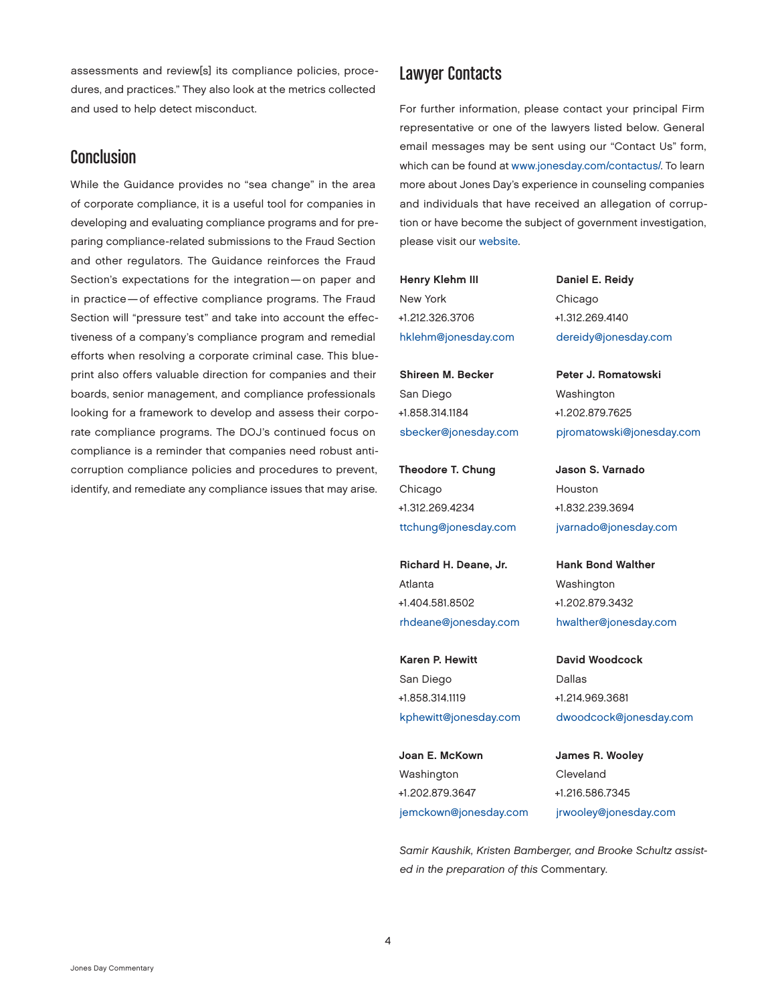assessments and review[s] its compliance policies, procedures, and practices." They also look at the metrics collected and used to help detect misconduct.

## Conclusion

While the Guidance provides no "sea change" in the area of corporate compliance, it is a useful tool for companies in developing and evaluating compliance programs and for preparing compliance-related submissions to the Fraud Section and other regulators. The Guidance reinforces the Fraud Section's expectations for the integration—on paper and in practice—of effective compliance programs. The Fraud Section will "pressure test" and take into account the effectiveness of a company's compliance program and remedial efforts when resolving a corporate criminal case. This blueprint also offers valuable direction for companies and their boards, senior management, and compliance professionals looking for a framework to develop and assess their corporate compliance programs. The DOJ's continued focus on compliance is a reminder that companies need robust anticorruption compliance policies and procedures to prevent, identify, and remediate any compliance issues that may arise.

### Lawyer Contacts

For further information, please contact your principal Firm representative or one of the lawyers listed below. General email messages may be sent using our "Contact Us" form, which can be found at [www.jonesday.com/contactus/](http://www.jonesday.com/contactus/). To learn more about Jones Day's experience in counseling companies and individuals that have received an allegation of corruption or have become the subject of government investigation, please visit our [website.](http://www.jonesday.com/foreigncorruptpracticesactcounselingdefense)

Henry Klehm III New York +1.212.326.3706 [hklehm@jonesday.com](mailto:hklehm@jonesday.com)

Shireen M. Becker San Diego +1.858.314.1184 [sbecker@jonesday.com](mailto:sbecker@jonesday.com)

Theodore T. Chung Chicago +1.312.269.4234 [ttchung@jonesday.com](mailto:ttchung@jonesday.com)

Richard H. Deane, Jr. Atlanta +1.404.581.8502 [rhdeane@jonesday.com](mailto:rhdeane@jonesday.com)

Karen P. Hewitt San Diego +1.858.314.1119 [kphewitt@jonesday.com](mailto:kphewitt@jonesday.com)

Joan E. McKown Washington +1.202.879.3647 [jemckown@jonesday.com](mailto:jemckown@jonesday.com) Daniel E. Reidy Chicago +1.312.269.4140 [dereidy@jonesday.com](mailto:dereidy@jonesday.com)

Peter J. Romatowski Washington +1.202.879.7625 [pjromatowski@jonesday.com](mailto:pjromatowski@jonesday.com)

Jason S. Varnado Houston +1.832.239.3694 [jvarnado@jonesday.com](mailto:jvarnado@jonesday.com)

Hank Bond Walther Washington +1.202.879.3432 [hwalther@jonesday.com](mailto:hwalther@jonesday.com)

David Woodcock Dallas +1.214.969.3681 [dwoodcock@jonesday.com](mailto:dwoodcock@jonesday.com)

James R. Wooley Cleveland +1.216.586.7345 [jrwooley@jonesday.com](mailto:jrwooley@jonesday.com)

*Samir Kaushik, Kristen Bamberger, and Brooke Schultz assisted in the preparation of this* Commentary.